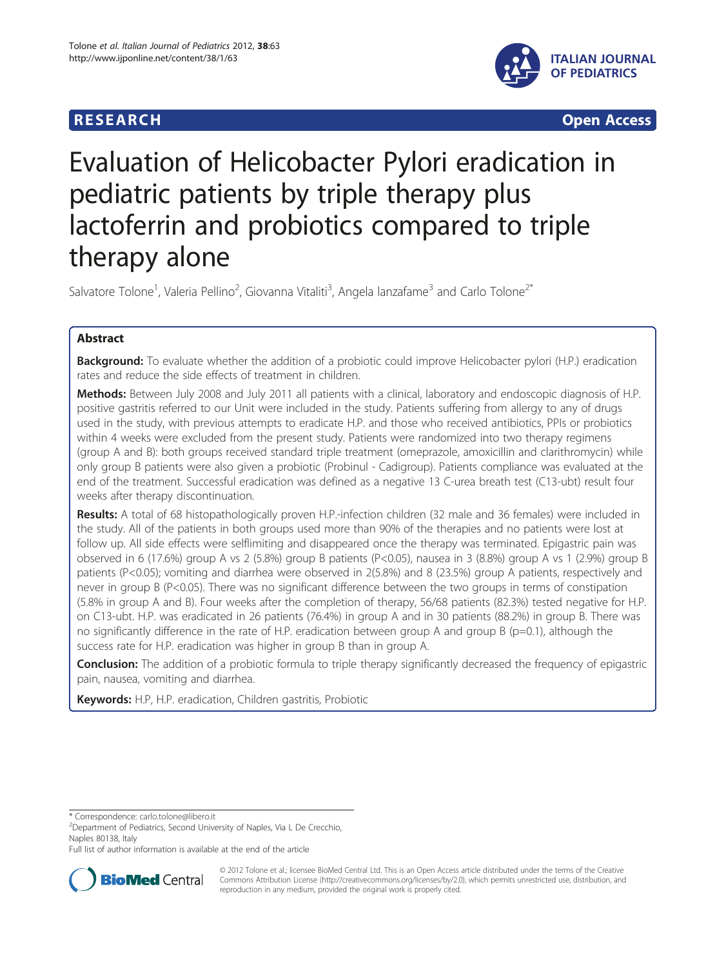



# Evaluation of Helicobacter Pylori eradication in pediatric patients by triple therapy plus lactoferrin and probiotics compared to triple therapy alone

Salvatore Tolone<sup>1</sup>, Valeria Pellino<sup>2</sup>, Giovanna Vitaliti<sup>3</sup>, Angela lanzafame<sup>3</sup> and Carlo Tolone<sup>2\*</sup>

# Abstract

**Background:** To evaluate whether the addition of a probiotic could improve Helicobacter pylori (H.P.) eradication rates and reduce the side effects of treatment in children.

Methods: Between July 2008 and July 2011 all patients with a clinical, laboratory and endoscopic diagnosis of H.P. positive gastritis referred to our Unit were included in the study. Patients suffering from allergy to any of drugs used in the study, with previous attempts to eradicate H.P. and those who received antibiotics, PPIs or probiotics within 4 weeks were excluded from the present study. Patients were randomized into two therapy regimens (group A and B): both groups received standard triple treatment (omeprazole, amoxicillin and clarithromycin) while only group B patients were also given a probiotic (Probinul - Cadigroup). Patients compliance was evaluated at the end of the treatment. Successful eradication was defined as a negative 13 C-urea breath test (C13-ubt) result four weeks after therapy discontinuation.

Results: A total of 68 histopathologically proven H.P.-infection children (32 male and 36 females) were included in the study. All of the patients in both groups used more than 90% of the therapies and no patients were lost at follow up. All side effects were selflimiting and disappeared once the therapy was terminated. Epigastric pain was observed in 6 (17.6%) group A vs 2 (5.8%) group B patients (P<0.05), nausea in 3 (8.8%) group A vs 1 (2.9%) group B patients (P<0.05); vomiting and diarrhea were observed in 2(5.8%) and 8 (23.5%) group A patients, respectively and never in group B (P<0.05). There was no significant difference between the two groups in terms of constipation (5.8% in group A and B). Four weeks after the completion of therapy, 56/68 patients (82.3%) tested negative for H.P. on C13-ubt. H.P. was eradicated in 26 patients (76.4%) in group A and in 30 patients (88.2%) in group B. There was no significantly difference in the rate of H.P. eradication between group A and group B (p=0.1), although the success rate for H.P. eradication was higher in group B than in group A.

**Conclusion:** The addition of a probiotic formula to triple therapy significantly decreased the frequency of epigastric pain, nausea, vomiting and diarrhea.

Keywords: H.P, H.P. eradication, Children gastritis, Probiotic

\* Correspondence: [carlo.tolone@libero.it](mailto:carlo.tolone@libero.it) <sup>2</sup>

<sup>2</sup>Department of Pediatrics, Second University of Naples, Via L De Crecchio, Naples 80138, Italy

Full list of author information is available at the end of the article



© 2012 Tolone et al.; licensee BioMed Central Ltd. This is an Open Access article distributed under the terms of the Creative Commons Attribution License [\(http://creativecommons.org/licenses/by/2.0\)](http://creativecommons.org/licenses/by/2.0), which permits unrestricted use, distribution, and reproduction in any medium, provided the original work is properly cited.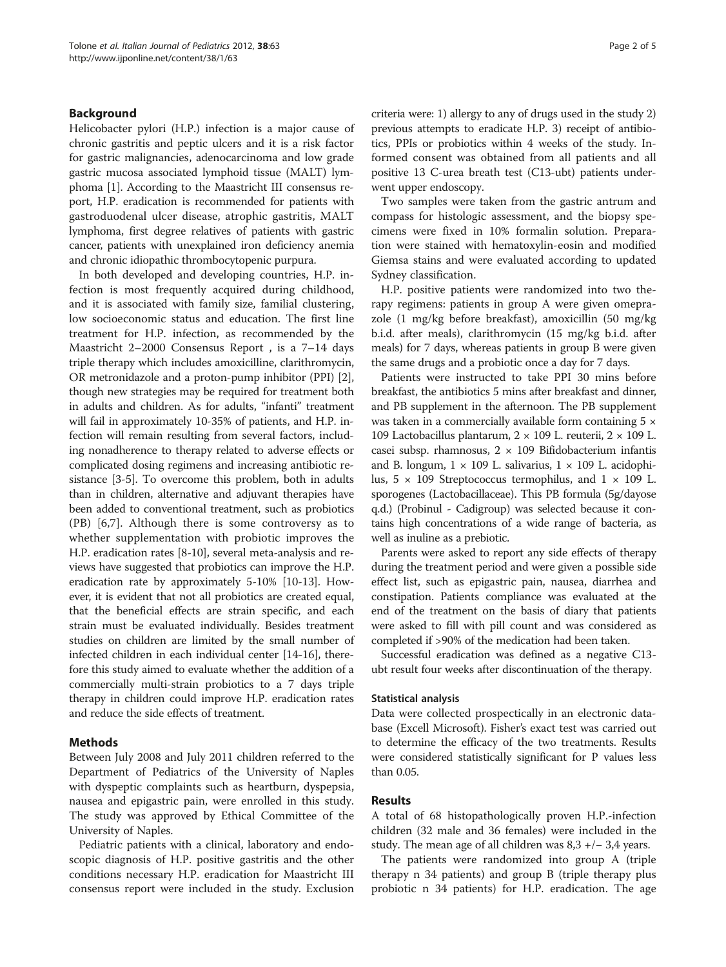# Background

Helicobacter pylori (H.P.) infection is a major cause of chronic gastritis and peptic ulcers and it is a risk factor for gastric malignancies, adenocarcinoma and low grade gastric mucosa associated lymphoid tissue (MALT) lymphoma [[1\]](#page-3-0). According to the Maastricht III consensus report, H.P. eradication is recommended for patients with gastroduodenal ulcer disease, atrophic gastritis, MALT lymphoma, first degree relatives of patients with gastric cancer, patients with unexplained iron deficiency anemia and chronic idiopathic thrombocytopenic purpura.

In both developed and developing countries, H.P. infection is most frequently acquired during childhood, and it is associated with family size, familial clustering, low socioeconomic status and education. The first line treatment for H.P. infection, as recommended by the Maastricht 2–2000 Consensus Report , is a 7–14 days triple therapy which includes amoxicilline, clarithromycin, OR metronidazole and a proton-pump inhibitor (PPI) [[2](#page-3-0)], though new strategies may be required for treatment both in adults and children. As for adults, "infanti" treatment will fail in approximately 10-35% of patients, and H.P. infection will remain resulting from several factors, including nonadherence to therapy related to adverse effects or complicated dosing regimens and increasing antibiotic resistance [[3-5\]](#page-4-0). To overcome this problem, both in adults than in children, alternative and adjuvant therapies have been added to conventional treatment, such as probiotics (PB) [[6,7](#page-4-0)]. Although there is some controversy as to whether supplementation with probiotic improves the H.P. eradication rates [[8-10\]](#page-4-0), several meta-analysis and reviews have suggested that probiotics can improve the H.P. eradication rate by approximately 5-10% [[10-13\]](#page-4-0). However, it is evident that not all probiotics are created equal, that the beneficial effects are strain specific, and each strain must be evaluated individually. Besides treatment studies on children are limited by the small number of infected children in each individual center [\[14-16\]](#page-4-0), therefore this study aimed to evaluate whether the addition of a commercially multi-strain probiotics to a 7 days triple therapy in children could improve H.P. eradication rates and reduce the side effects of treatment.

# Methods

Between July 2008 and July 2011 children referred to the Department of Pediatrics of the University of Naples with dyspeptic complaints such as heartburn, dyspepsia, nausea and epigastric pain, were enrolled in this study. The study was approved by Ethical Committee of the University of Naples.

Pediatric patients with a clinical, laboratory and endoscopic diagnosis of H.P. positive gastritis and the other conditions necessary H.P. eradication for Maastricht III consensus report were included in the study. Exclusion criteria were: 1) allergy to any of drugs used in the study 2) previous attempts to eradicate H.P. 3) receipt of antibiotics, PPIs or probiotics within 4 weeks of the study. Informed consent was obtained from all patients and all positive 13 C-urea breath test (C13-ubt) patients underwent upper endoscopy.

Two samples were taken from the gastric antrum and compass for histologic assessment, and the biopsy specimens were fixed in 10% formalin solution. Preparation were stained with hematoxylin-eosin and modified Giemsa stains and were evaluated according to updated Sydney classification.

H.P. positive patients were randomized into two therapy regimens: patients in group A were given omeprazole (1 mg/kg before breakfast), amoxicillin (50 mg/kg b.i.d. after meals), clarithromycin (15 mg/kg b.i.d. after meals) for 7 days, whereas patients in group B were given the same drugs and a probiotic once a day for 7 days.

Patients were instructed to take PPI 30 mins before breakfast, the antibiotics 5 mins after breakfast and dinner, and PB supplement in the afternoon. The PB supplement was taken in a commercially available form containing  $5 \times$ 109 Lactobacillus plantarum,  $2 \times 109$  L. reuterii,  $2 \times 109$  L. casei subsp. rhamnosus,  $2 \times 109$  Bifidobacterium infantis and B. longum,  $1 \times 109$  L. salivarius,  $1 \times 109$  L. acidophilus,  $5 \times 109$  Streptococcus termophilus, and  $1 \times 109$  L. sporogenes (Lactobacillaceae). This PB formula (5g/dayose q.d.) (Probinul - Cadigroup) was selected because it contains high concentrations of a wide range of bacteria, as well as inuline as a prebiotic.

Parents were asked to report any side effects of therapy during the treatment period and were given a possible side effect list, such as epigastric pain, nausea, diarrhea and constipation. Patients compliance was evaluated at the end of the treatment on the basis of diary that patients were asked to fill with pill count and was considered as completed if >90% of the medication had been taken.

Successful eradication was defined as a negative C13 ubt result four weeks after discontinuation of the therapy.

# Statistical analysis

Data were collected prospectically in an electronic database (Excell Microsoft). Fisher's exact test was carried out to determine the efficacy of the two treatments. Results were considered statistically significant for P values less than 0.05.

# Results

A total of 68 histopathologically proven H.P.-infection children (32 male and 36 females) were included in the study. The mean age of all children was 8,3 +/− 3,4 years.

The patients were randomized into group A (triple therapy n 34 patients) and group B (triple therapy plus probiotic n 34 patients) for H.P. eradication. The age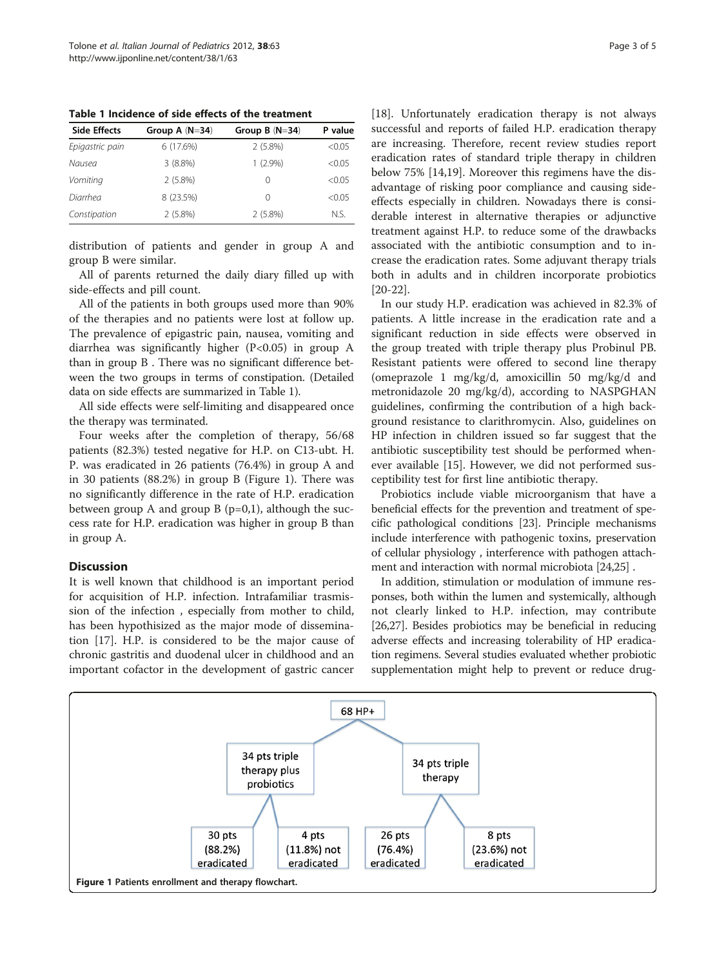Table 1 Incidence of side effects of the treatment

| <b>Side Effects</b> | Group A $(N=34)$ | Group $B(N=34)$ | P value |
|---------------------|------------------|-----------------|---------|
| Epigastric pain     | 6(17.6%)         | 2(5.8%)         | < 0.05  |
| Nausea              | $3(8.8\%)$       | $1(2.9\%)$      | < 0.05  |
| Vomiting            | 2(5.8%)          | 0               | < 0.05  |
| Diarrhea            | 8 (23.5%)        | 0               | < 0.05  |
| Constipation        | $2(5.8\%)$       | 2(5.8%)         | N.S.    |

distribution of patients and gender in group A and group B were similar.

All of parents returned the daily diary filled up with side-effects and pill count.

All of the patients in both groups used more than 90% of the therapies and no patients were lost at follow up. The prevalence of epigastric pain, nausea, vomiting and diarrhea was significantly higher (P<0.05) in group A than in group B . There was no significant difference between the two groups in terms of constipation. (Detailed data on side effects are summarized in Table 1).

All side effects were self-limiting and disappeared once the therapy was terminated.

Four weeks after the completion of therapy, 56/68 patients (82.3%) tested negative for H.P. on C13-ubt. H. P. was eradicated in 26 patients (76.4%) in group A and in 30 patients (88.2%) in group B (Figure 1). There was no significantly difference in the rate of H.P. eradication between group A and group B  $(p=0,1)$ , although the success rate for H.P. eradication was higher in group B than in group A.

# **Discussion**

It is well known that childhood is an important period for acquisition of H.P. infection. Intrafamiliar trasmission of the infection , especially from mother to child, has been hypothisized as the major mode of dissemination [[17\]](#page-4-0). H.P. is considered to be the major cause of chronic gastritis and duodenal ulcer in childhood and an important cofactor in the development of gastric cancer [[18\]](#page-4-0). Unfortunately eradication therapy is not always successful and reports of failed H.P. eradication therapy are increasing. Therefore, recent review studies report eradication rates of standard triple therapy in children below 75% [[14](#page-4-0),[19](#page-4-0)]. Moreover this regimens have the disadvantage of risking poor compliance and causing sideeffects especially in children. Nowadays there is considerable interest in alternative therapies or adjunctive treatment against H.P. to reduce some of the drawbacks associated with the antibiotic consumption and to increase the eradication rates. Some adjuvant therapy trials both in adults and in children incorporate probiotics [[20-22](#page-4-0)].

In our study H.P. eradication was achieved in 82.3% of patients. A little increase in the eradication rate and a significant reduction in side effects were observed in the group treated with triple therapy plus Probinul PB. Resistant patients were offered to second line therapy (omeprazole 1 mg/kg/d, amoxicillin 50 mg/kg/d and metronidazole 20 mg/kg/d), according to NASPGHAN guidelines, confirming the contribution of a high background resistance to clarithromycin. Also, guidelines on HP infection in children issued so far suggest that the antibiotic susceptibility test should be performed whenever available [[15\]](#page-4-0). However, we did not performed susceptibility test for first line antibiotic therapy.

Probiotics include viable microorganism that have a beneficial effects for the prevention and treatment of specific pathological conditions [[23\]](#page-4-0). Principle mechanisms include interference with pathogenic toxins, preservation of cellular physiology , interference with pathogen attachment and interaction with normal microbiota [\[24,25\]](#page-4-0) .

In addition, stimulation or modulation of immune responses, both within the lumen and systemically, although not clearly linked to H.P. infection, may contribute [[26](#page-4-0),[27](#page-4-0)]. Besides probiotics may be beneficial in reducing adverse effects and increasing tolerability of HP eradication regimens. Several studies evaluated whether probiotic supplementation might help to prevent or reduce drug-

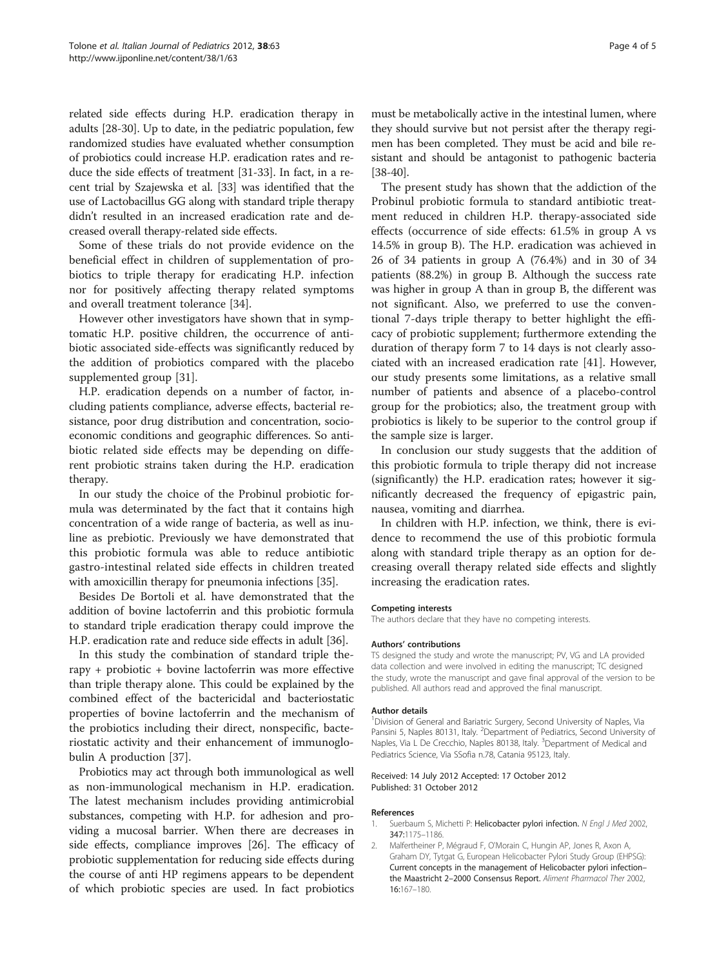<span id="page-3-0"></span>related side effects during H.P. eradication therapy in adults [[28](#page-4-0)-[30](#page-4-0)]. Up to date, in the pediatric population, few randomized studies have evaluated whether consumption of probiotics could increase H.P. eradication rates and reduce the side effects of treatment [\[31-33\]](#page-4-0). In fact, in a recent trial by Szajewska et al. [\[33](#page-4-0)] was identified that the use of Lactobacillus GG along with standard triple therapy didn't resulted in an increased eradication rate and decreased overall therapy-related side effects.

Some of these trials do not provide evidence on the beneficial effect in children of supplementation of probiotics to triple therapy for eradicating H.P. infection nor for positively affecting therapy related symptoms and overall treatment tolerance [\[34](#page-4-0)].

However other investigators have shown that in symptomatic H.P. positive children, the occurrence of antibiotic associated side-effects was significantly reduced by the addition of probiotics compared with the placebo supplemented group [\[31\]](#page-4-0).

H.P. eradication depends on a number of factor, including patients compliance, adverse effects, bacterial resistance, poor drug distribution and concentration, socioeconomic conditions and geographic differences. So antibiotic related side effects may be depending on different probiotic strains taken during the H.P. eradication therapy.

In our study the choice of the Probinul probiotic formula was determinated by the fact that it contains high concentration of a wide range of bacteria, as well as inuline as prebiotic. Previously we have demonstrated that this probiotic formula was able to reduce antibiotic gastro-intestinal related side effects in children treated with amoxicillin therapy for pneumonia infections [[35](#page-4-0)].

Besides De Bortoli et al. have demonstrated that the addition of bovine lactoferrin and this probiotic formula to standard triple eradication therapy could improve the H.P. eradication rate and reduce side effects in adult [[36\]](#page-4-0).

In this study the combination of standard triple therapy + probiotic + bovine lactoferrin was more effective than triple therapy alone. This could be explained by the combined effect of the bactericidal and bacteriostatic properties of bovine lactoferrin and the mechanism of the probiotics including their direct, nonspecific, bacteriostatic activity and their enhancement of immunoglobulin A production [[37\]](#page-4-0).

Probiotics may act through both immunological as well as non-immunological mechanism in H.P. eradication. The latest mechanism includes providing antimicrobial substances, competing with H.P. for adhesion and providing a mucosal barrier. When there are decreases in side effects, compliance improves [[26](#page-4-0)]. The efficacy of probiotic supplementation for reducing side effects during the course of anti HP regimens appears to be dependent of which probiotic species are used. In fact probiotics must be metabolically active in the intestinal lumen, where

they should survive but not persist after the therapy regimen has been completed. They must be acid and bile resistant and should be antagonist to pathogenic bacteria [[38](#page-4-0)-[40\]](#page-4-0).

The present study has shown that the addiction of the Probinul probiotic formula to standard antibiotic treatment reduced in children H.P. therapy-associated side effects (occurrence of side effects: 61.5% in group A vs 14.5% in group B). The H.P. eradication was achieved in 26 of 34 patients in group A (76.4%) and in 30 of 34 patients (88.2%) in group B. Although the success rate was higher in group A than in group B, the different was not significant. Also, we preferred to use the conventional 7-days triple therapy to better highlight the efficacy of probiotic supplement; furthermore extending the duration of therapy form 7 to 14 days is not clearly associated with an increased eradication rate [[41](#page-4-0)]. However, our study presents some limitations, as a relative small number of patients and absence of a placebo-control group for the probiotics; also, the treatment group with probiotics is likely to be superior to the control group if the sample size is larger.

In conclusion our study suggests that the addition of this probiotic formula to triple therapy did not increase (significantly) the H.P. eradication rates; however it significantly decreased the frequency of epigastric pain, nausea, vomiting and diarrhea.

In children with H.P. infection, we think, there is evidence to recommend the use of this probiotic formula along with standard triple therapy as an option for decreasing overall therapy related side effects and slightly increasing the eradication rates.

#### Competing interests

The authors declare that they have no competing interests.

## Authors' contributions

TS designed the study and wrote the manuscript; PV, VG and LA provided data collection and were involved in editing the manuscript; TC designed the study, wrote the manuscript and gave final approval of the version to be published. All authors read and approved the final manuscript.

#### Author details

<sup>1</sup> Division of General and Bariatric Surgery, Second University of Naples, Via Pansini 5, Naples 80131, Italy. <sup>2</sup>Department of Pediatrics, Second University of Naples, Via L De Crecchio, Naples 80138, Italy. <sup>3</sup>Department of Medical and Pediatrics Science, Via SSofia n.78, Catania 95123, Italy.

## Received: 14 July 2012 Accepted: 17 October 2012 Published: 31 October 2012

#### References

- 1. Suerbaum S, Michetti P: Helicobacter pylori infection. N Engl J Med 2002, 347:1175–1186.
- 2. Malfertheiner P, Mégraud F, O'Morain C, Hungin AP, Jones R, Axon A, Graham DY, Tytgat G, European Helicobacter Pylori Study Group (EHPSG): Current concepts in the management of Helicobacter pylori infection– the Maastricht 2–2000 Consensus Report. Aliment Pharmacol Ther 2002, 16:167–180.